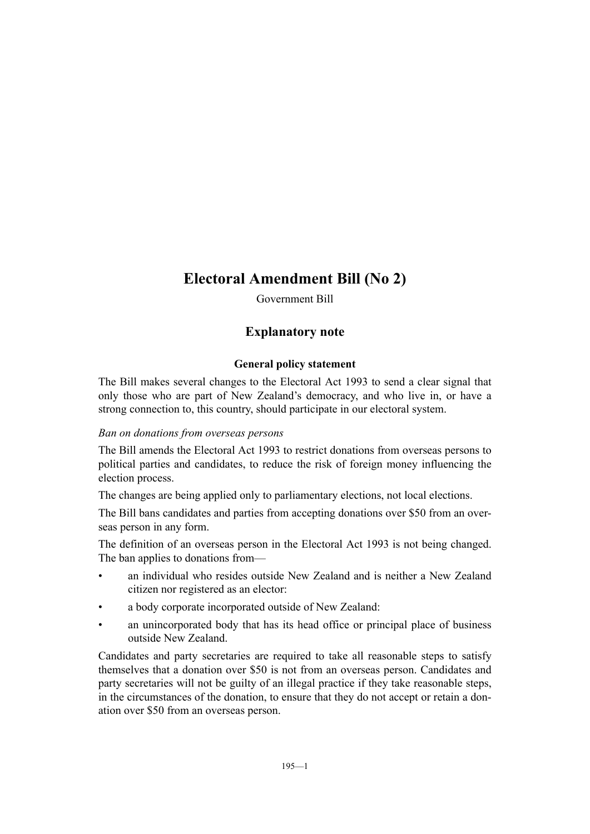# **Electoral Amendment Bill (No 2)**

Government Bill

## **Explanatory note**

#### **General policy statement**

The Bill makes several changes to the Electoral Act 1993 to send a clear signal that only those who are part of New Zealand's democracy, and who live in, or have a strong connection to, this country, should participate in our electoral system.

#### *Ban on donations from overseas persons*

The Bill amends the Electoral Act 1993 to restrict donations from overseas persons to political parties and candidates, to reduce the risk of foreign money influencing the election process.

The changes are being applied only to parliamentary elections, not local elections.

The Bill bans candidates and parties from accepting donations over \$50 from an overseas person in any form.

The definition of an overseas person in the Electoral Act 1993 is not being changed. The ban applies to donations from—

- an individual who resides outside New Zealand and is neither a New Zealand citizen nor registered as an elector:
- a body corporate incorporated outside of New Zealand:
- an unincorporated body that has its head office or principal place of business outside New Zealand.

Candidates and party secretaries are required to take all reasonable steps to satisfy themselves that a donation over \$50 is not from an overseas person. Candidates and party secretaries will not be guilty of an illegal practice if they take reasonable steps, in the circumstances of the donation, to ensure that they do not accept or retain a donation over \$50 from an overseas person.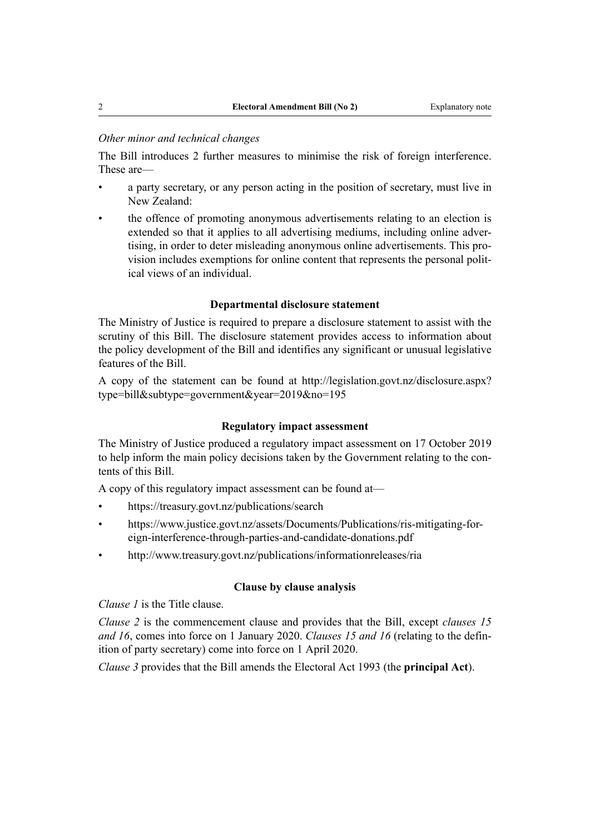#### *Other minor and technical changes*

The Bill introduces 2 further measures to minimise the risk of foreign interference. These are—

- a party secretary, or any person acting in the position of secretary, must live in New Zealand:
- the offence of promoting anonymous advertisements relating to an election is extended so that it applies to all advertising mediums, including online advertising, in order to deter misleading anonymous online advertisements. This provision includes exemptions for online content that represents the personal political views of an individual.

#### **Departmental disclosure statement**

The Ministry of Justice is required to prepare a disclosure statement to assist with the scrutiny of this Bill. The disclosure statement provides access to information about the policy development of the Bill and identifies any significant or unusual legislative features of the Bill.

A copy of the statement can be found at [http://legislation.govt.nz/disclosure.aspx?](http://legislation.govt.nz/disclosure.aspx?type=bill&subtype=government&year=2019&no=195) [type=bill&subtype=government&year=2019&no=195](http://legislation.govt.nz/disclosure.aspx?type=bill&subtype=government&year=2019&no=195)

#### **Regulatory impact assessment**

The Ministry of Justice produced a regulatory impact assessment on 17 October 2019 to help inform the main policy decisions taken by the Government relating to the contents of this Bill.

A copy of this regulatory impact assessment can be found at—

- <https://treasury.govt.nz/publications/search>
- [https://www.justice.govt.nz/assets/Documents/Publications/ris-mitigating-for](https://www.justice.govt.nz/assets/Documents/Publications/ris-mitigating-foreign-interference-through-parties-and-candidate-donations.pdf)[eign-interference-through-parties-and-candidate-donations.pdf](https://www.justice.govt.nz/assets/Documents/Publications/ris-mitigating-foreign-interference-through-parties-and-candidate-donations.pdf)
- <http://www.treasury.govt.nz/publications/informationreleases/ria>

#### **Clause by clause analysis**

*Clause 1* is the Title clause.

*Clause 2* is the commencement clause and provides that the Bill, except *clauses 15 and 16*, comes into force on 1 January 2020. *Clauses 15 and 16* (relating to the definition of party secretary) come into force on 1 April 2020.

*Clause 3* provides that the Bill amends the Electoral Act 1993 (the **principal Act**).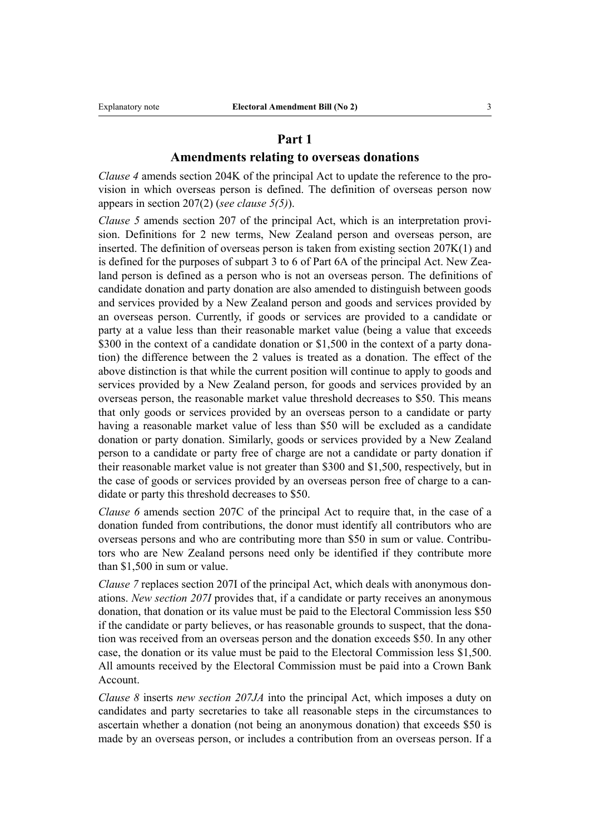#### **Part 1**

#### **Amendments relating to overseas donations**

*Clause 4* amends section 204K of the principal Act to update the reference to the provision in which overseas person is defined. The definition of overseas person now appears in section 207(2) (*see clause 5(5)*).

*Clause 5* amends section 207 of the principal Act, which is an interpretation provision. Definitions for 2 new terms, New Zealand person and overseas person, are inserted. The definition of overseas person is taken from existing section 207K(1) and is defined for the purposes of subpart 3 to 6 of Part 6A of the principal Act. New Zealand person is defined as a person who is not an overseas person. The definitions of candidate donation and party donation are also amended to distinguish between goods and services provided by a New Zealand person and goods and services provided by an overseas person. Currently, if goods or services are provided to a candidate or party at a value less than their reasonable market value (being a value that exceeds \$300 in the context of a candidate donation or \$1,500 in the context of a party donation) the difference between the 2 values is treated as a donation. The effect of the above distinction is that while the current position will continue to apply to goods and services provided by a New Zealand person, for goods and services provided by an overseas person, the reasonable market value threshold decreases to \$50. This means that only goods or services provided by an overseas person to a candidate or party having a reasonable market value of less than \$50 will be excluded as a candidate donation or party donation. Similarly, goods or services provided by a New Zealand person to a candidate or party free of charge are not a candidate or party donation if their reasonable market value is not greater than \$300 and \$1,500, respectively, but in the case of goods or services provided by an overseas person free of charge to a candidate or party this threshold decreases to \$50.

*Clause 6* amends section 207C of the principal Act to require that, in the case of a donation funded from contributions, the donor must identify all contributors who are overseas persons and who are contributing more than \$50 in sum or value. Contributors who are New Zealand persons need only be identified if they contribute more than \$1,500 in sum or value.

*Clause 7* replaces section 207I of the principal Act, which deals with anonymous donations. *New section 207I* provides that, if a candidate or party receives an anonymous donation, that donation or its value must be paid to the Electoral Commission less \$50 if the candidate or party believes, or has reasonable grounds to suspect, that the donation was received from an overseas person and the donation exceeds \$50. In any other case, the donation or its value must be paid to the Electoral Commission less \$1,500. All amounts received by the Electoral Commission must be paid into a Crown Bank Account.

*Clause 8* inserts *new section 207JA* into the principal Act, which imposes a duty on candidates and party secretaries to take all reasonable steps in the circumstances to ascertain whether a donation (not being an anonymous donation) that exceeds \$50 is made by an overseas person, or includes a contribution from an overseas person. If a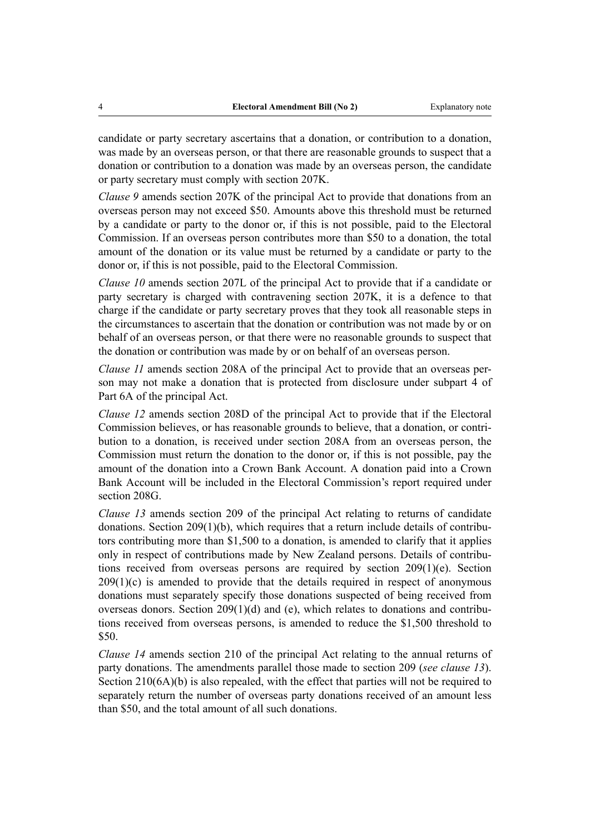candidate or party secretary ascertains that a donation, or contribution to a donation, was made by an overseas person, or that there are reasonable grounds to suspect that a donation or contribution to a donation was made by an overseas person, the candidate or party secretary must comply with section 207K.

*Clause 9* amends section 207K of the principal Act to provide that donations from an overseas person may not exceed \$50. Amounts above this threshold must be returned by a candidate or party to the donor or, if this is not possible, paid to the Electoral Commission. If an overseas person contributes more than \$50 to a donation, the total amount of the donation or its value must be returned by a candidate or party to the donor or, if this is not possible, paid to the Electoral Commission.

*Clause 10* amends section 207L of the principal Act to provide that if a candidate or party secretary is charged with contravening section 207K, it is a defence to that charge if the candidate or party secretary proves that they took all reasonable steps in the circumstances to ascertain that the donation or contribution was not made by or on behalf of an overseas person, or that there were no reasonable grounds to suspect that the donation or contribution was made by or on behalf of an overseas person.

*Clause 11* amends section 208A of the principal Act to provide that an overseas person may not make a donation that is protected from disclosure under subpart 4 of Part 6A of the principal Act.

*Clause 12* amends section 208D of the principal Act to provide that if the Electoral Commission believes, or has reasonable grounds to believe, that a donation, or contribution to a donation, is received under section 208A from an overseas person, the Commission must return the donation to the donor or, if this is not possible, pay the amount of the donation into a Crown Bank Account. A donation paid into a Crown Bank Account will be included in the Electoral Commission's report required under section 208G.

*Clause 13* amends section 209 of the principal Act relating to returns of candidate donations. Section 209(1)(b), which requires that a return include details of contributors contributing more than \$1,500 to a donation, is amended to clarify that it applies only in respect of contributions made by New Zealand persons. Details of contributions received from overseas persons are required by section 209(1)(e). Section  $209(1)(c)$  is amended to provide that the details required in respect of anonymous donations must separately specify those donations suspected of being received from overseas donors. Section  $209(1)(d)$  and (e), which relates to donations and contributions received from overseas persons, is amended to reduce the \$1,500 threshold to \$50.

*Clause 14* amends section 210 of the principal Act relating to the annual returns of party donations. The amendments parallel those made to section 209 (*see clause 13*). Section 210(6A)(b) is also repealed, with the effect that parties will not be required to separately return the number of overseas party donations received of an amount less than \$50, and the total amount of all such donations.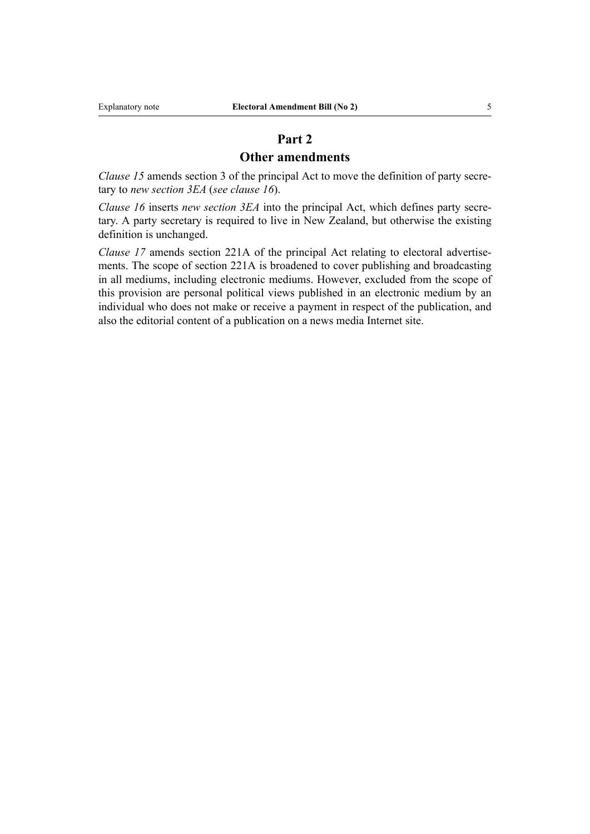#### **Part 2**

#### **Other amendments**

*Clause 15* amends section 3 of the principal Act to move the definition of party secretary to *new section 3EA* (*see clause 16*).

*Clause 16* inserts *new section 3EA* into the principal Act, which defines party secretary. A party secretary is required to live in New Zealand, but otherwise the existing definition is unchanged.

*Clause 17* amends section 221A of the principal Act relating to electoral advertisements. The scope of section 221A is broadened to cover publishing and broadcasting in all mediums, including electronic mediums. However, excluded from the scope of this provision are personal political views published in an electronic medium by an individual who does not make or receive a payment in respect of the publication, and also the editorial content of a publication on a news media Internet site.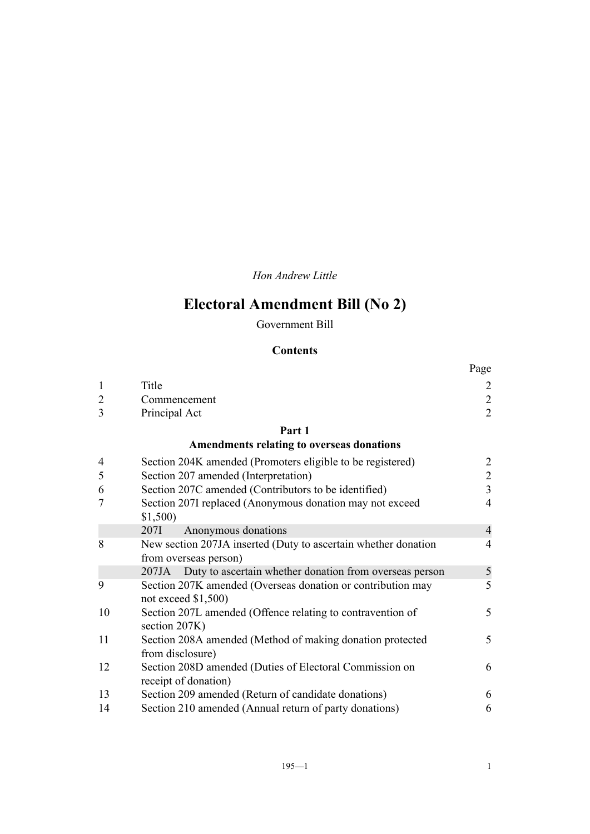# *Hon Andrew Little*

# **Electoral Amendment Bill (No 2)**

Government Bill

#### **Contents**

|                |                                                                                         | Page           |
|----------------|-----------------------------------------------------------------------------------------|----------------|
| $\mathbf{1}$   | Title                                                                                   | $\overline{2}$ |
| $\overline{2}$ | Commencement                                                                            | $\overline{c}$ |
| 3              | Principal Act                                                                           | $\overline{2}$ |
|                | Part 1                                                                                  |                |
|                | <b>Amendments relating to overseas donations</b>                                        |                |
| $\overline{4}$ | Section 204K amended (Promoters eligible to be registered)                              |                |
| 5              | Section 207 amended (Interpretation)                                                    | $\frac{2}{2}$  |
| 6              | Section 207C amended (Contributors to be identified)                                    | $\overline{3}$ |
| 7              | Section 207I replaced (Anonymous donation may not exceed<br>\$1,500                     | $\overline{4}$ |
|                | 207I<br>Anonymous donations                                                             | $\overline{4}$ |
| 8              | New section 207JA inserted (Duty to ascertain whether donation<br>from overseas person) | $\overline{4}$ |
|                | Duty to ascertain whether donation from overseas person<br>207JA                        | 5              |
| 9              | Section 207K amended (Overseas donation or contribution may<br>not exceed $$1,500$      | 5              |
| 10             | Section 207L amended (Offence relating to contravention of<br>section 207K)             | 5              |
| 11             | Section 208A amended (Method of making donation protected<br>from disclosure)           | 5              |
| 12             | Section 208D amended (Duties of Electoral Commission on<br>receipt of donation)         | 6              |
| 13             | Section 209 amended (Return of candidate donations)                                     | 6              |
| 14             | Section 210 amended (Annual return of party donations)                                  | 6              |
|                |                                                                                         |                |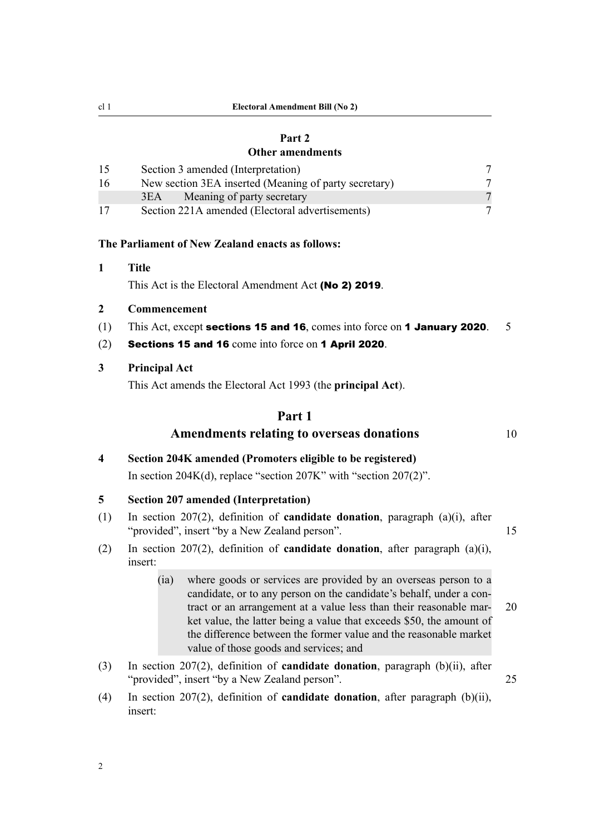#### **[Part 2](#page-12-0) [Other amendments](#page-12-0)**

<span id="page-7-0"></span>

| -15  | Section 3 amended (Interpretation)                    |   |  |  |
|------|-------------------------------------------------------|---|--|--|
| 16   | New section 3EA inserted (Meaning of party secretary) |   |  |  |
|      | Meaning of party secretary<br>3EA                     | 7 |  |  |
| - 17 | Section 221A amended (Electoral advertisements)       |   |  |  |

#### **The Parliament of New Zealand enacts as follows:**

#### **1 Title**

This Act is the Electoral Amendment Act (No 2) 2019.

#### **2 Commencement**

- (1) This Act, except sections 15 and 16, comes into force on 1 January 2020.  $5$
- (2) Sections 15 and 16 come into force on 1 April 2020.

#### **3 Principal Act**

This Act amends the Electoral Act 1993 (the **principal Act**).

#### **Part 1**

#### Amendments relating to overseas donations 10

**4 Section 204K amended (Promoters eligible to be registered)** In section 204K(d), replace "section 207K" with "section 207(2)".

#### **5 Section 207 amended (Interpretation)**

- (1) In section 207(2), definition of **candidate donation**, paragraph (a)(i), after "provided", insert "by a New Zealand person". 15
	-
- (2) In section 207(2), definition of **candidate donation**, after paragraph (a)(i), insert:
	- (ia) where goods or services are provided by an overseas person to a candidate, or to any person on the candidate's behalf, under a contract or an arrangement at a value less than their reasonable mar- 20 ket value, the latter being a value that exceeds \$50, the amount of the difference between the former value and the reasonable market value of those goods and services; and
- (3) In section 207(2), definition of **candidate donation**, paragraph (b)(ii), after "provided", insert "by a New Zealand person". 25
- (4) In section 207(2), definition of **candidate donation**, after paragraph (b)(ii), insert: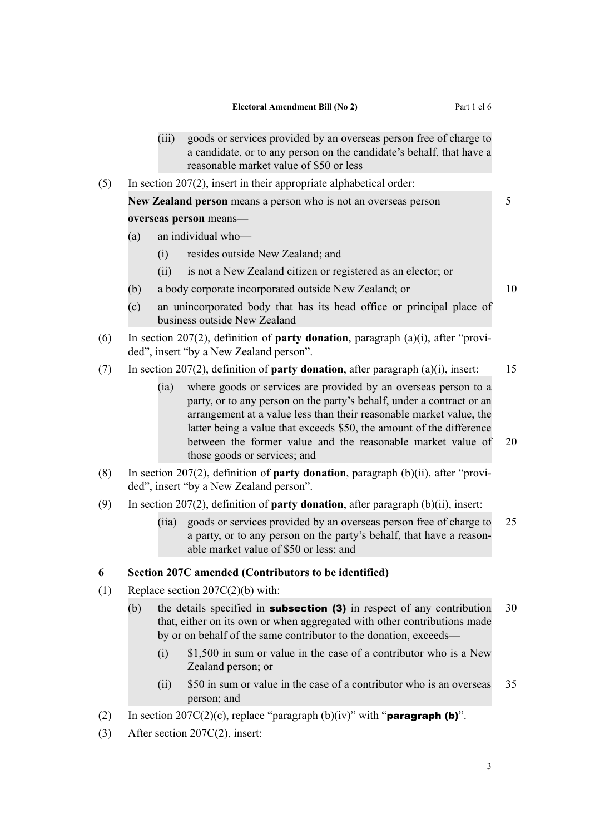<span id="page-8-0"></span>

|     |     | (iii)                                                                                                                                   | goods or services provided by an overseas person free of charge to<br>a candidate, or to any person on the candidate's behalf, that have a<br>reasonable market value of \$50 or less                                                                                                                                                                                                  |    |  |  |  |  |
|-----|-----|-----------------------------------------------------------------------------------------------------------------------------------------|----------------------------------------------------------------------------------------------------------------------------------------------------------------------------------------------------------------------------------------------------------------------------------------------------------------------------------------------------------------------------------------|----|--|--|--|--|
| (5) |     |                                                                                                                                         | In section $207(2)$ , insert in their appropriate alphabetical order:                                                                                                                                                                                                                                                                                                                  |    |  |  |  |  |
|     |     |                                                                                                                                         | New Zealand person means a person who is not an overseas person                                                                                                                                                                                                                                                                                                                        | 5  |  |  |  |  |
|     |     | overseas person means-                                                                                                                  |                                                                                                                                                                                                                                                                                                                                                                                        |    |  |  |  |  |
|     | (a) |                                                                                                                                         | an individual who-                                                                                                                                                                                                                                                                                                                                                                     |    |  |  |  |  |
|     |     | (i)                                                                                                                                     | resides outside New Zealand; and                                                                                                                                                                                                                                                                                                                                                       |    |  |  |  |  |
|     |     | (ii)                                                                                                                                    | is not a New Zealand citizen or registered as an elector; or                                                                                                                                                                                                                                                                                                                           |    |  |  |  |  |
|     | (b) |                                                                                                                                         | a body corporate incorporated outside New Zealand; or                                                                                                                                                                                                                                                                                                                                  | 10 |  |  |  |  |
|     | (c) |                                                                                                                                         | an unincorporated body that has its head office or principal place of<br>business outside New Zealand                                                                                                                                                                                                                                                                                  |    |  |  |  |  |
| (6) |     |                                                                                                                                         | In section 207(2), definition of <b>party donation</b> , paragraph $(a)(i)$ , after "provi-<br>ded", insert "by a New Zealand person".                                                                                                                                                                                                                                                 |    |  |  |  |  |
| (7) |     | In section 207(2), definition of <b>party donation</b> , after paragraph $(a)(i)$ , insert:                                             |                                                                                                                                                                                                                                                                                                                                                                                        |    |  |  |  |  |
|     |     | (ia)                                                                                                                                    | where goods or services are provided by an overseas person to a<br>party, or to any person on the party's behalf, under a contract or an<br>arrangement at a value less than their reasonable market value, the<br>latter being a value that exceeds \$50, the amount of the difference<br>between the former value and the reasonable market value of<br>those goods or services; and | 20 |  |  |  |  |
| (8) |     | In section 207(2), definition of <b>party donation</b> , paragraph $(b)(ii)$ , after "provi-<br>ded", insert "by a New Zealand person". |                                                                                                                                                                                                                                                                                                                                                                                        |    |  |  |  |  |
| (9) |     | In section $207(2)$ , definition of <b>party donation</b> , after paragraph (b)(ii), insert:                                            |                                                                                                                                                                                                                                                                                                                                                                                        |    |  |  |  |  |
|     |     | (iia)                                                                                                                                   | goods or services provided by an overseas person free of charge to<br>a party, or to any person on the party's behalf, that have a reason-<br>able market value of \$50 or less; and                                                                                                                                                                                                   | 25 |  |  |  |  |
| 6   |     |                                                                                                                                         | Section 207C amended (Contributors to be identified)                                                                                                                                                                                                                                                                                                                                   |    |  |  |  |  |
| (1) |     | Replace section $207C(2)(b)$ with:                                                                                                      |                                                                                                                                                                                                                                                                                                                                                                                        |    |  |  |  |  |
|     | (b) |                                                                                                                                         | the details specified in <b>subsection (3)</b> in respect of any contribution<br>that, either on its own or when aggregated with other contributions made<br>by or on behalf of the same contributor to the donation, exceeds—                                                                                                                                                         | 30 |  |  |  |  |
|     |     | (i)                                                                                                                                     | \$1,500 in sum or value in the case of a contributor who is a New<br>Zealand person; or                                                                                                                                                                                                                                                                                                |    |  |  |  |  |
|     |     | (ii)                                                                                                                                    | \$50 in sum or value in the case of a contributor who is an overseas<br>person; and                                                                                                                                                                                                                                                                                                    | 35 |  |  |  |  |
| (2) |     | In section 207C(2)(c), replace "paragraph (b)(iv)" with " <b>paragraph (b)</b> ".                                                       |                                                                                                                                                                                                                                                                                                                                                                                        |    |  |  |  |  |

(3) After section 207C(2), insert: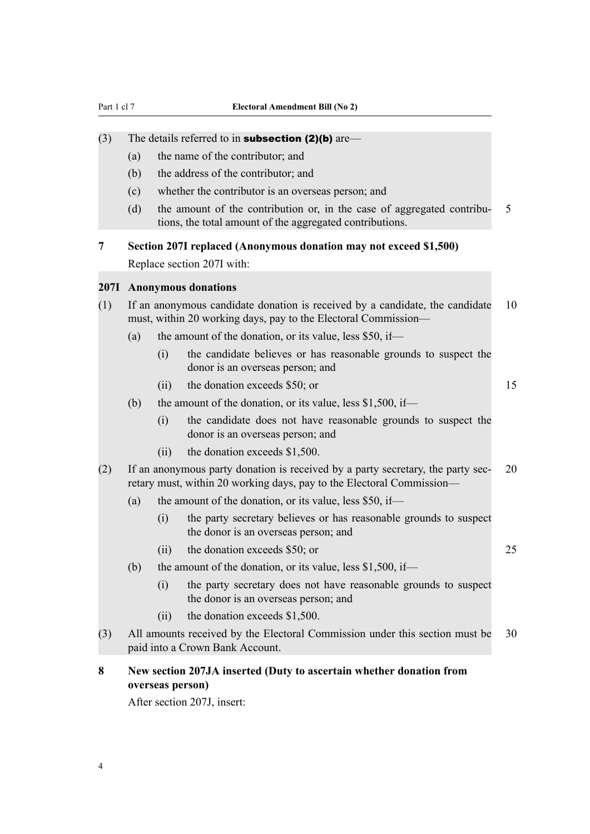#### <span id="page-9-0"></span>(3) The details referred to in **subsection (2)(b)** are—

- (a) the name of the contributor; and
- (b) the address of the contributor; and
- (c) whether the contributor is an overseas person; and
- (d) the amount of the contribution or, in the case of aggregated contribu- 5 tions, the total amount of the aggregated contributions.
- **7 Section 207I replaced (Anonymous donation may not exceed \$1,500)** Replace section 207I with:

#### **207I Anonymous donations**

- (1) If an anonymous candidate donation is received by a candidate, the candidate 10 must, within 20 working days, pay to the Electoral Commission—
	- (a) the amount of the donation, or its value, less  $$50$ , if—
		- (i) the candidate believes or has reasonable grounds to suspect the donor is an overseas person; and
		- (ii) the donation exceeds \$50; or 15

- (b) the amount of the donation, or its value, less  $$1,500$ , if—
	- (i) the candidate does not have reasonable grounds to suspect the donor is an overseas person; and
	- (ii) the donation exceeds \$1,500.
- (2) If an anonymous party donation is received by a party secretary, the party sec- 20 retary must, within 20 working days, pay to the Electoral Commission—
	- (a) the amount of the donation, or its value, less  $$50$ , if—
		- (i) the party secretary believes or has reasonable grounds to suspect the donor is an overseas person; and
		- (ii) the donation exceeds \$50; or 25
	- (b) the amount of the donation, or its value, less  $$1,500$ , if—
		- (i) the party secretary does not have reasonable grounds to suspect the donor is an overseas person; and
		- (ii) the donation exceeds \$1,500.
- (3) All amounts received by the Electoral Commission under this section must be 30 paid into a Crown Bank Account.

#### **8 New section 207JA inserted (Duty to ascertain whether donation from overseas person)**

After section 207J, insert: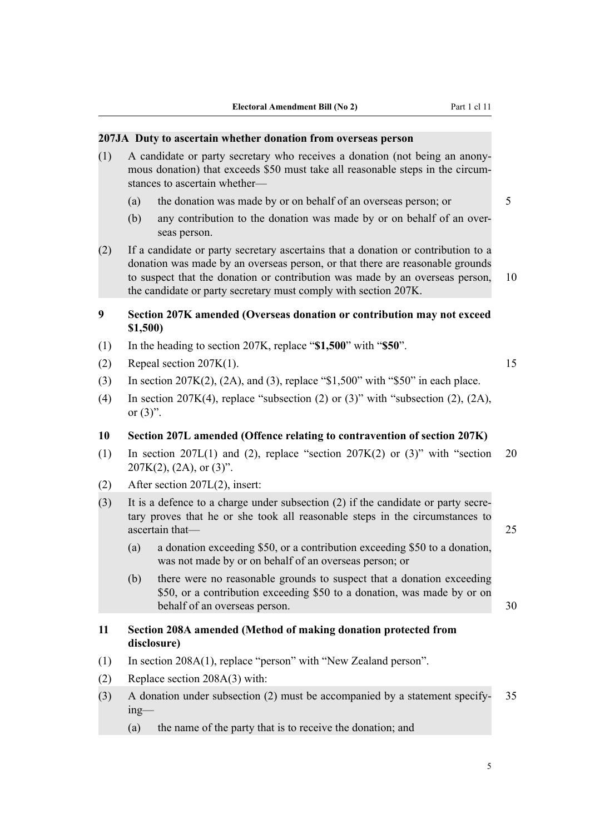#### <span id="page-10-0"></span>**207JA Duty to ascertain whether donation from overseas person**

- (1) A candidate or party secretary who receives a donation (not being an anonymous donation) that exceeds \$50 must take all reasonable steps in the circumstances to ascertain whether—
	- (a) the donation was made by or on behalf of an overseas person; or  $5$
	- (b) any contribution to the donation was made by or on behalf of an overseas person.
- (2) If a candidate or party secretary ascertains that a donation or contribution to a donation was made by an overseas person, or that there are reasonable grounds to suspect that the donation or contribution was made by an overseas person. 10 the candidate or party secretary must comply with section 207K.

#### **9 Section 207K amended (Overseas donation or contribution may not exceed \$1,500)**

- (1) In the heading to section 207K, replace "**\$1,500**" with "**\$50**".
- (2) Repeal section  $207K(1)$ . 15
- (3) In section  $207K(2)$ ,  $(2A)$ , and  $(3)$ , replace "\$1,500" with "\$50" in each place.
- (4) In section 207K(4), replace "subsection (2) or  $(3)$ " with "subsection (2), (2A), or  $(3)$ ".

#### **10 Section 207L amended (Offence relating to contravention of section 207K)**

- (1) In section 207L(1) and (2), replace "section 207K(2) or (3)" with "section 20  $207K(2)$ ,  $(2A)$ , or  $(3)$ ".
- (2) After section 207L(2), insert:
- (3) It is a defence to a charge under subsection (2) if the candidate or party secretary proves that he or she took all reasonable steps in the circumstances to ascertain that — 25
	- (a) a donation exceeding \$50, or a contribution exceeding \$50 to a donation, was not made by or on behalf of an overseas person; or
	- (b) there were no reasonable grounds to suspect that a donation exceeding \$50, or a contribution exceeding \$50 to a donation, was made by or on behalf of an overseas person. 30
- **11 Section 208A amended (Method of making donation protected from disclosure)**
- (1) In section 208A(1), replace "person" with "New Zealand person".
- (2) Replace section 208A(3) with:
- (3) A donation under subsection (2) must be accompanied by a statement specify- 35 ing—
	- (a) the name of the party that is to receive the donation; and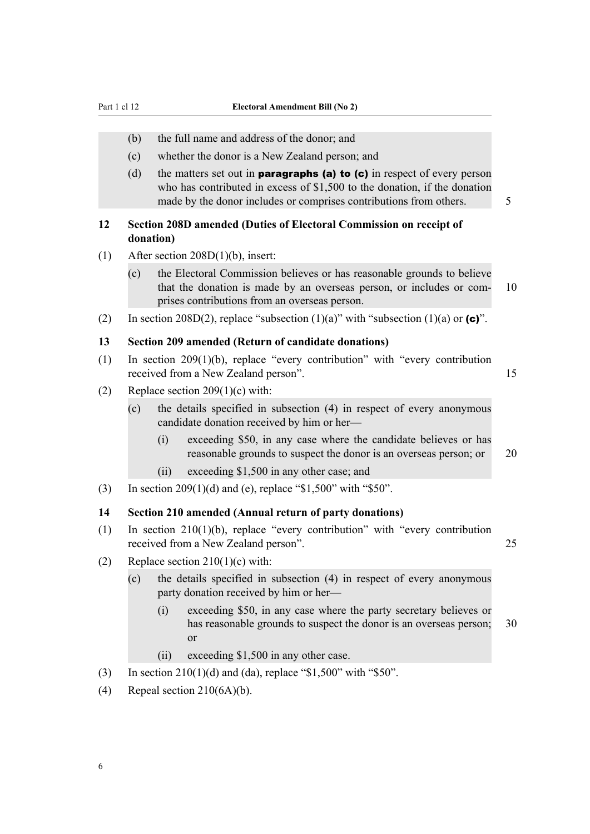- <span id="page-11-0"></span>(b) the full name and address of the donor; and
- (c) whether the donor is a New Zealand person; and
- (d) the matters set out in **paragraphs (a) to (c)** in respect of every person who has contributed in excess of \$1,500 to the donation, if the donation made by the donor includes or comprises contributions from others. 5

**12 Section 208D amended (Duties of Electoral Commission on receipt of donation)**

- (1) After section 208D(1)(b), insert:
	- (c) the Electoral Commission believes or has reasonable grounds to believe that the donation is made by an overseas person, or includes or com- 10 prises contributions from an overseas person.
- (2) In section 208D(2), replace "subsection  $(1)(a)$ " with "subsection  $(1)(a)$  or  $(c)$ ".

#### **13 Section 209 amended (Return of candidate donations)**

- (1) In section 209(1)(b), replace "every contribution" with "every contribution received from a New Zealand person". 15
- (2) Replace section  $209(1)(c)$  with:
	- (c) the details specified in subsection (4) in respect of every anonymous candidate donation received by him or her—
		- (i) exceeding \$50, in any case where the candidate believes or has reasonable grounds to suspect the donor is an overseas person; or 20
		- (ii) exceeding \$1,500 in any other case; and
- (3) In section 209(1)(d) and (e), replace "\$1,500" with "\$50".

#### **14 Section 210 amended (Annual return of party donations)**

- (1) In section 210(1)(b), replace "every contribution" with "every contribution received from a New Zealand person". 25
- (2) Replace section  $210(1)(c)$  with:
	- (c) the details specified in subsection (4) in respect of every anonymous party donation received by him or her—
		- (i) exceeding \$50, in any case where the party secretary believes or has reasonable grounds to suspect the donor is an overseas person; 30 or
		- (ii) exceeding \$1,500 in any other case.
- (3) In section  $210(1)(d)$  and (da), replace "\$1,500" with "\$50".
- (4) Repeal section  $210(6A)(b)$ .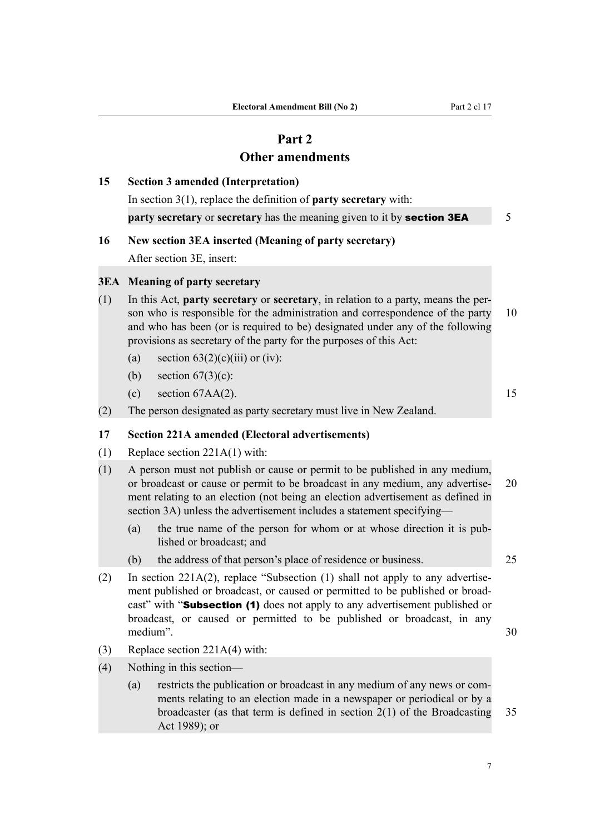### **Part 2**

#### **Other amendments**

# <span id="page-12-0"></span>**15 Section 3 amended (Interpretation)** In section 3(1), replace the definition of **party secretary** with: **party secretary** or **secretary** has the meaning given to it by **section 3EA** 5 **16 New section 3EA inserted (Meaning of party secretary)** After section 3E, insert: **3EA Meaning of party secretary** (1) In this Act, **party secretary** or **secretary**, in relation to a party, means the person who is responsible for the administration and correspondence of the party 10 and who has been (or is required to be) designated under any of the following provisions as secretary of the party for the purposes of this Act: (a) section  $63(2)(c)(iii)$  or (iv): (b) section  $67(3)(c)$ : (c) section 67AA(2). 15 (2) The person designated as party secretary must live in New Zealand.

#### **17 Section 221A amended (Electoral advertisements)**

- (1) Replace section 221A(1) with:
- (1) A person must not publish or cause or permit to be published in any medium, or broadcast or cause or permit to be broadcast in any medium, any advertise- 20 ment relating to an election (not being an election advertisement as defined in section 3A) unless the advertisement includes a statement specifying—
	- (a) the true name of the person for whom or at whose direction it is published or broadcast; and
	- (b) the address of that person's place of residence or business. 25
- (2) In section  $221A(2)$ , replace "Subsection (1) shall not apply to any advertisement published or broadcast, or caused or permitted to be published or broadcast" with "**Subsection (1)** does not apply to any advertisement published or broadcast, or caused or permitted to be published or broadcast, in any medium". 30
- (3) Replace section 221A(4) with:
- (4) Nothing in this section—
	- (a) restricts the publication or broadcast in any medium of any news or comments relating to an election made in a newspaper or periodical or by a broadcaster (as that term is defined in section 2(1) of the Broadcasting 35 Act 1989); or